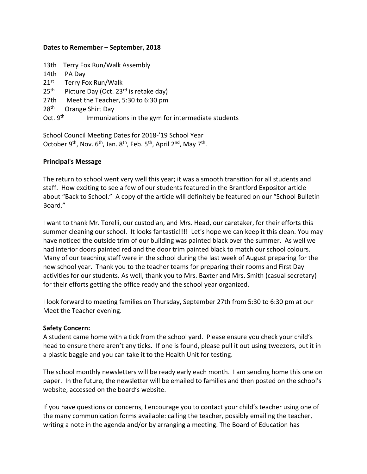### **Dates to Remember – September, 2018**

|                   | 13th Terry Fox Run/Walk Assembly                   |
|-------------------|----------------------------------------------------|
| 14th              | PA Day                                             |
| $21^{\rm st}$     | Terry Fox Run/Walk                                 |
| $25^{\text{th}}$  | Picture Day (Oct. 23 <sup>rd</sup> is retake day)  |
| 27th              | Meet the Teacher, 5:30 to 6:30 pm                  |
| 28 <sup>th</sup>  | Orange Shirt Day                                   |
| Oct. $9^{\sf th}$ | Immunizations in the gym for intermediate students |
|                   |                                                    |

School Council Meeting Dates for 2018-'19 School Year October 9<sup>th</sup>, Nov. 6<sup>th</sup>, Jan. 8<sup>th</sup>, Feb. 5<sup>th</sup>, April 2<sup>nd</sup>, May 7<sup>th</sup>.

## **Principal's Message**

The return to school went very well this year; it was a smooth transition for all students and staff. How exciting to see a few of our students featured in the Brantford Expositor article about "Back to School." A copy of the article will definitely be featured on our "School Bulletin Board."

I want to thank Mr. Torelli, our custodian, and Mrs. Head, our caretaker, for their efforts this summer cleaning our school. It looks fantastic!!!! Let's hope we can keep it this clean. You may have noticed the outside trim of our building was painted black over the summer. As well we had interior doors painted red and the door trim painted black to match our school colours. Many of our teaching staff were in the school during the last week of August preparing for the new school year. Thank you to the teacher teams for preparing their rooms and First Day activities for our students. As well, thank you to Mrs. Baxter and Mrs. Smith (casual secretary) for their efforts getting the office ready and the school year organized.

I look forward to meeting families on Thursday, September 27th from 5:30 to 6:30 pm at our Meet the Teacher evening.

## **Safety Concern:**

A student came home with a tick from the school yard. Please ensure you check your child's head to ensure there aren't any ticks. If one is found, please pull it out using tweezers, put it in a plastic baggie and you can take it to the Health Unit for testing.

The school monthly newsletters will be ready early each month. I am sending home this one on paper. In the future, the newsletter will be emailed to families and then posted on the school's website, accessed on the board's website.

If you have questions or concerns, I encourage you to contact your child's teacher using one of the many communication forms available: calling the teacher, possibly emailing the teacher, writing a note in the agenda and/or by arranging a meeting. The Board of Education has